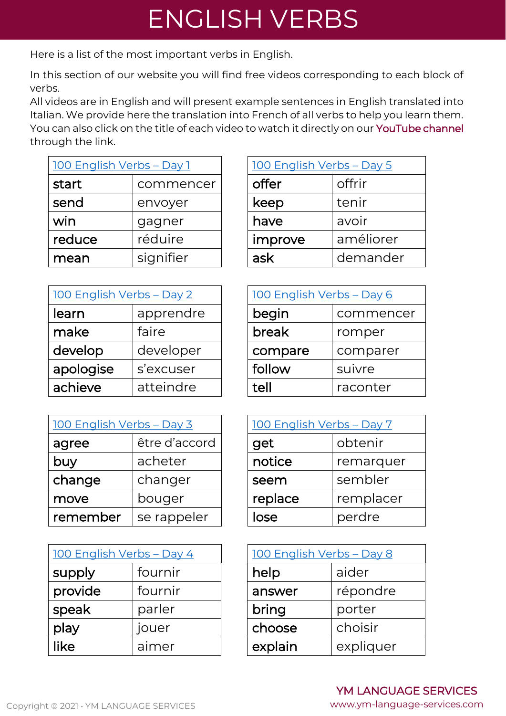## ENGLISH VERBS

Here is a list of the most important verbs in English.

In this section of our website you will find free videos corresponding to each block of verbs.

All videos are in English and will present example sentences in English translated into Italian. We provide here the translation into French of all verbs to help you learn them. You can also click on the title of each video to watch it directly on our [YouTube channel](https://www.youtube.com/channel/UCjflYLEjEF3FZXoa77jfeGA) through the link.

| 100 English Verbs - Day 1 |           | 100 English Verbs - Day 5 |           |
|---------------------------|-----------|---------------------------|-----------|
| start                     | commencer | offer                     | offrir    |
| send                      | envoyer   | keep                      | tenir     |
| win                       | gagner    | have                      | avoir     |
| reduce                    | réduire   | improve                   | améliorer |
| mean                      | signifier | ask                       | demander  |

| 100 English Verbs - Day 2 |           | 100 English Verbs - Day 6 |           |
|---------------------------|-----------|---------------------------|-----------|
| learn                     | apprendre | begin                     | commencer |
| make                      | faire     | break                     | romper    |
| develop                   | developer | compare                   | comparer  |
| apologise                 | s'excuser | follow                    | suivre    |
| achieve                   | atteindre | tell                      | raconter  |

| 100 English Verbs - Day 3 |               | 100 English Verbs - Day 7 |           |
|---------------------------|---------------|---------------------------|-----------|
| agree                     | être d'accord | get                       | obtenir   |
| buy                       | acheter       | notice                    | remarquer |
| change                    | changer       | seem                      | sembler   |
| move                      | bouger        | replace                   | remplacer |
| remember                  | se rappeler   | lose                      | perdre    |

| 100 English Verbs - Day 4 |         | 100 English Verbs - Day 8 |           |  |
|---------------------------|---------|---------------------------|-----------|--|
| supply                    | fournir | help                      | aider     |  |
| provide                   | fournir | answer                    | répondre  |  |
| speak                     | parler  | bring                     | porter    |  |
| play                      | jouer   | choose                    | choisir   |  |
| like                      | aimer   | explain                   | expliquer |  |

| <u> 100 English Verbs – Day 5</u> |  |  |  |
|-----------------------------------|--|--|--|
| offrir                            |  |  |  |
| tenir                             |  |  |  |
| avoir                             |  |  |  |
| améliorer                         |  |  |  |
| demander                          |  |  |  |
|                                   |  |  |  |

| 100 English Verbs - Day 6 |          |  |  |
|---------------------------|----------|--|--|
| begin<br>commencer        |          |  |  |
| break<br>romper           |          |  |  |
| compare                   | comparer |  |  |
| follow                    | suivre   |  |  |
| tell                      | raconter |  |  |

| 100 English Verbs - Day 7 |         |  |  |
|---------------------------|---------|--|--|
| obtenir<br>get            |         |  |  |
| notice<br>remarquer       |         |  |  |
| seem                      | sembler |  |  |
| replace<br>remplacer      |         |  |  |
| lose                      | perdre  |  |  |

| <u> 100 English Verbs - Day 8</u> |           |  |  |
|-----------------------------------|-----------|--|--|
| help<br>aider                     |           |  |  |
| répondre<br>answer                |           |  |  |
| bring<br>porter                   |           |  |  |
| choisir<br>choose                 |           |  |  |
| explain                           | expliquer |  |  |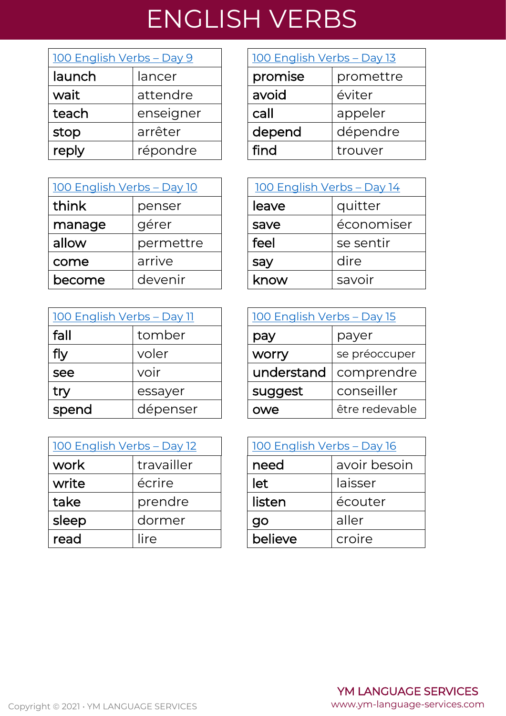## ENGLISH VERBS

| 100 English Verbs - Day 9 |           | 100 English Verbs - Day 13 |           |  |
|---------------------------|-----------|----------------------------|-----------|--|
| launch                    | lancer    | promise                    | promettre |  |
| wait                      | attendre  | avoid                      | éviter    |  |
| teach                     | enseigner | call                       | appeler   |  |
| stop                      | arrêter   | depend                     | dépendre  |  |
| reply                     | répondre  | find                       | trouver   |  |

| <u> 100 English Verbs - Day 10</u> |           |       | 100 English Verbs - Day 14 |
|------------------------------------|-----------|-------|----------------------------|
| think                              | penser    | leave | quitter                    |
| manage                             | gérer     | save  | économiser                 |
| allow                              | permettre | feel  | se sentir                  |
| come                               | arrive    | say   | dire                       |
| become                             | devenir   | know  | savoir                     |

| <u> 100 English Verbs - Day 11</u> |          | 100 English Verbs - Day 15 |                |
|------------------------------------|----------|----------------------------|----------------|
| fall                               | tomber   | pay                        | payer          |
| fly                                | voler    | worry                      | se préoccuper  |
| see                                | voir     | understand                 | comprendre     |
| try                                | essayer  | suggest                    | conseiller     |
| spend                              | dépenser | owe                        | être redevable |

| 100 English Verbs - Day 12 |            | <u> 100 English Verbs - Day 16</u> |              |
|----------------------------|------------|------------------------------------|--------------|
| work                       | travailler | need                               | avoir besoin |
| write                      | écrire     | let                                | laisser      |
| take                       | prendre    | listen                             | écouter      |
| sleep                      | dormer     | go                                 | aller        |
| read                       | lire       | believe                            | croire       |

| 100 English Verbs - Day 13 |           |  |
|----------------------------|-----------|--|
| promise                    | promettre |  |
| avoid                      | éviter    |  |
| call                       | appeler   |  |
| depend                     | dépendre  |  |
| find                       | trouver   |  |

| <u> 100 English Verbs - Day 14</u> |            |  |
|------------------------------------|------------|--|
| quitter<br>leave                   |            |  |
| save                               | économiser |  |
| feel                               | se sentir  |  |
| say                                | dire       |  |
| know                               | savoir     |  |

| <u> 100 English Verbs – Day 11</u> |          | <u> 100 English Verbs - Day 15</u> |                |  |
|------------------------------------|----------|------------------------------------|----------------|--|
| fall                               | tomber   | pay                                | payer          |  |
| fly                                | voler    | worry                              | se préoccuper  |  |
| see                                | voir     | understand                         | comprendre     |  |
| try                                | essayer  | suggest                            | conseiller     |  |
| spend                              | dépenser | owe                                | être redevable |  |

| <u> 100 English Verbs - Day 16</u> |         |  |
|------------------------------------|---------|--|
| avoir besoin<br>need               |         |  |
| let                                | laisser |  |
| listen                             | écouter |  |
| qo                                 | aller   |  |
| believe                            | croire  |  |